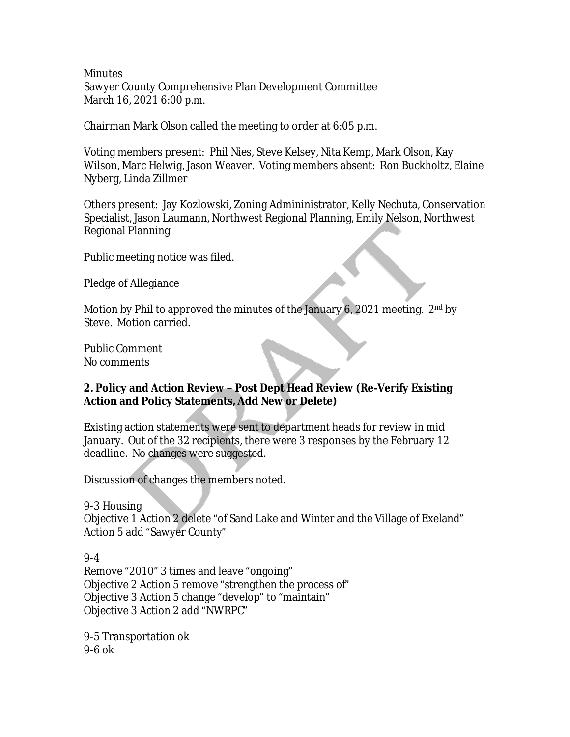**Minutes** Sawyer County Comprehensive Plan Development Committee March 16, 2021 6:00 p.m.

Chairman Mark Olson called the meeting to order at 6:05 p.m.

Voting members present: Phil Nies, Steve Kelsey, Nita Kemp, Mark Olson, Kay Wilson, Marc Helwig, Jason Weaver. Voting members absent: Ron Buckholtz, Elaine Nyberg, Linda Zillmer

Others present: Jay Kozlowski, Zoning Admininistrator, Kelly Nechuta, Conservation Specialist, Jason Laumann, Northwest Regional Planning, Emily Nelson, Northwest Regional Planning

Public meeting notice was filed.

Pledge of Allegiance

Motion by Phil to approved the minutes of the January 6, 2021 meeting.  $2^{nd}$  by Steve. Motion carried.

Public Comment No comments

#### **2. Policy and Action Review – Post Dept Head Review (Re-Verify Existing Action and Policy Statements, Add New or Delete)**

Existing action statements were sent to department heads for review in mid January. Out of the 32 recipients, there were 3 responses by the February 12 deadline. No changes were suggested.

Discussion of changes the members noted.

9-3 Housing

Objective 1 Action 2 delete "of Sand Lake and Winter and the Village of Exeland" Action 5 add "Sawyer County"

9-4 Remove "2010" 3 times and leave "ongoing" Objective 2 Action 5 remove "strengthen the process of" Objective 3 Action 5 change "develop" to "maintain" Objective 3 Action 2 add "NWRPC"

9-5 Transportation ok 9-6 ok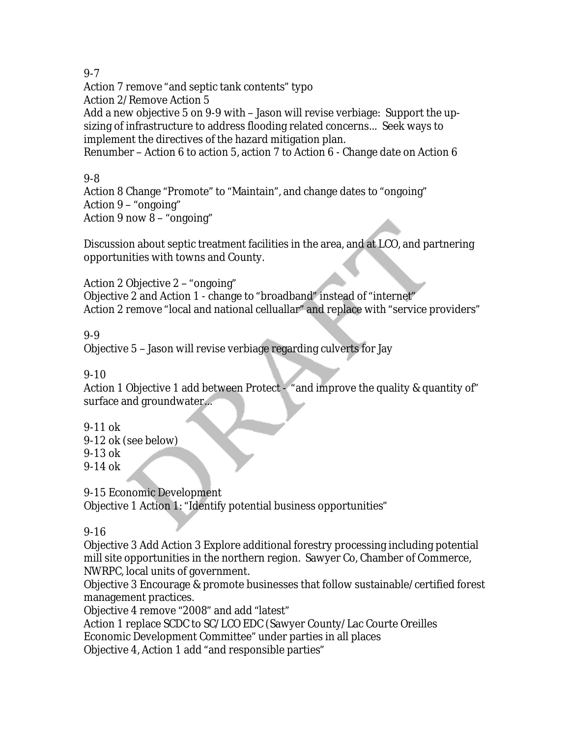#### 9-7

Action 7 remove "and septic tank contents" typo

Action 2/Remove Action 5

Add a new objective 5 on 9-9 with – Jason will revise verbiage: Support the upsizing of infrastructure to address flooding related concerns… Seek ways to implement the directives of the hazard mitigation plan.

Renumber – Action 6 to action 5, action 7 to Action 6 - Change date on Action 6

# 9-8

Action 8 Change "Promote" to "Maintain", and change dates to "ongoing" Action 9 – "ongoing" Action 9 now 8 – "ongoing"

Discussion about septic treatment facilities in the area, and at LCO, and partnering opportunities with towns and County.

Action 2 Objective 2 – "ongoing"

Objective 2 and Action 1 - change to "broadband" instead of "internet" Action 2 remove "local and national celluallar" and replace with "service providers"

### 9-9

Objective 5 – Jason will revise verbiage regarding culverts for Jay

## 9-10

Action 1 Objective 1 add between Protect - "and improve the quality & quantity of" surface and groundwater…

9-11 ok

9-12 ok (see below)

9-13 ok

9-14 ok

9-15 Economic Development Objective 1 Action 1: "Identify potential business opportunities"

### 9-16

Objective 3 Add Action 3 Explore additional forestry processing including potential mill site opportunities in the northern region. Sawyer Co, Chamber of Commerce, NWRPC, local units of government.

Objective 3 Encourage & promote businesses that follow sustainable/certified forest management practices.

Objective 4 remove "2008" and add "latest"

Action 1 replace SCDC to SC/LCO EDC (Sawyer County/Lac Courte Oreilles

Economic Development Committee" under parties in all places

Objective 4, Action 1 add "and responsible parties"